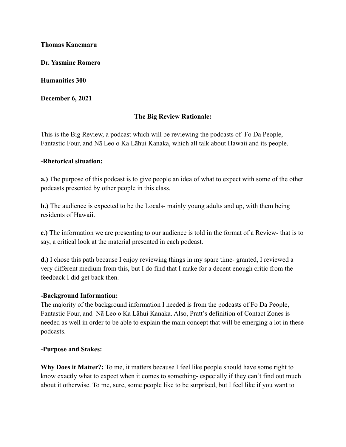#### **Thomas Kanemaru**

**Dr. Yasmine Romero**

**Humanities 300**

**December 6, 2021**

## **The Big Review Rationale:**

This is the Big Review, a podcast which will be reviewing the podcasts of Fo Da People, Fantastic Four, and Nā Leo o Ka Lāhui Kanaka, which all talk about Hawaii and its people.

#### **-Rhetorical situation:**

**a.)** The purpose of this podcast is to give people an idea of what to expect with some of the other podcasts presented by other people in this class.

**b.)** The audience is expected to be the Locals- mainly young adults and up, with them being residents of Hawaii.

**c.)** The information we are presenting to our audience is told in the format of a Review- that is to say, a critical look at the material presented in each podcast.

**d.)** I chose this path because I enjoy reviewing things in my spare time- granted, I reviewed a very different medium from this, but I do find that I make for a decent enough critic from the feedback I did get back then.

### **-Background Information:**

The majority of the background information I needed is from the podcasts of Fo Da People, Fantastic Four, and Nā Leo o Ka Lāhui Kanaka. Also, Pratt's definition of Contact Zones is needed as well in order to be able to explain the main concept that will be emerging a lot in these podcasts.

### **-Purpose and Stakes:**

**Why Does it Matter?:** To me, it matters because I feel like people should have some right to know exactly what to expect when it comes to something- especially if they can't find out much about it otherwise. To me, sure, some people like to be surprised, but I feel like if you want to